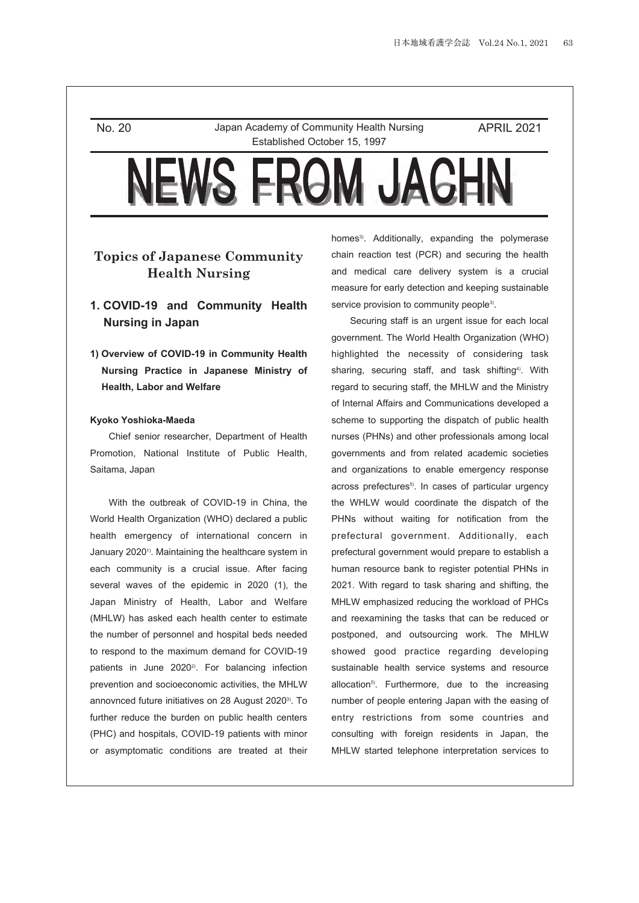No. 20 Japan Academy of Community Health Nursing Established October 15, 1997

APRIL 2021

# **Topics of Japanese Community Health Nursing**

# **1. COVID-19 and Community Health Nursing in Japan**

**1) Overview of COVID-19 in Community Health Nursing Practice in Japanese Ministry of Health, Labor and Welfare**

## **Kyoko Yoshioka-Maeda**

Chief senior researcher, Department of Health Promotion, National Institute of Public Health, Saitama, Japan

With the outbreak of COVID-19 in China, the World Health Organization (WHO) declared a public health emergency of international concern in January 2020<sup>1</sup>). Maintaining the healthcare system in each community is a crucial issue. After facing several waves of the epidemic in 2020 (1), the Japan Ministry of Health, Labor and Welfare (MHLW) has asked each health center to estimate the number of personnel and hospital beds needed to respond to the maximum demand for COVID-19 patients in June 2020<sup>2)</sup>. For balancing infection prevention and socioeconomic activities, the MHLW annovnced future initiatives on 28 August 2020<sup>3)</sup>. To further reduce the burden on public health centers (PHC) and hospitals, COVID-19 patients with minor or asymptomatic conditions are treated at their homes<sup>3)</sup>. Additionally, expanding the polymerase chain reaction test (PCR) and securing the health and medical care delivery system is a crucial measure for early detection and keeping sustainable service provision to community people<sup>3)</sup>.

Securing staff is an urgent issue for each local government. The World Health Organization (WHO) highlighted the necessity of considering task sharing, securing staff, and task shifting<sup>4)</sup>. With regard to securing staff, the MHLW and the Ministry of Internal Affairs and Communications developed a scheme to supporting the dispatch of public health nurses (PHNs) and other professionals among local governments and from related academic societies and organizations to enable emergency response across prefectures<sup>5)</sup>. In cases of particular urgency the WHLW would coordinate the dispatch of the PHNs without waiting for notification from the prefectural government. Additionally, each prefectural government would prepare to establish a human resource bank to register potential PHNs in 2021. With regard to task sharing and shifting, the MHLW emphasized reducing the workload of PHCs and reexamining the tasks that can be reduced or postponed, and outsourcing work. The MHLW showed good practice regarding developing sustainable health service systems and resource allocation<sup>5)</sup>. Furthermore, due to the increasing number of people entering Japan with the easing of entry restrictions from some countries and consulting with foreign residents in Japan, the MHLW started telephone interpretation services to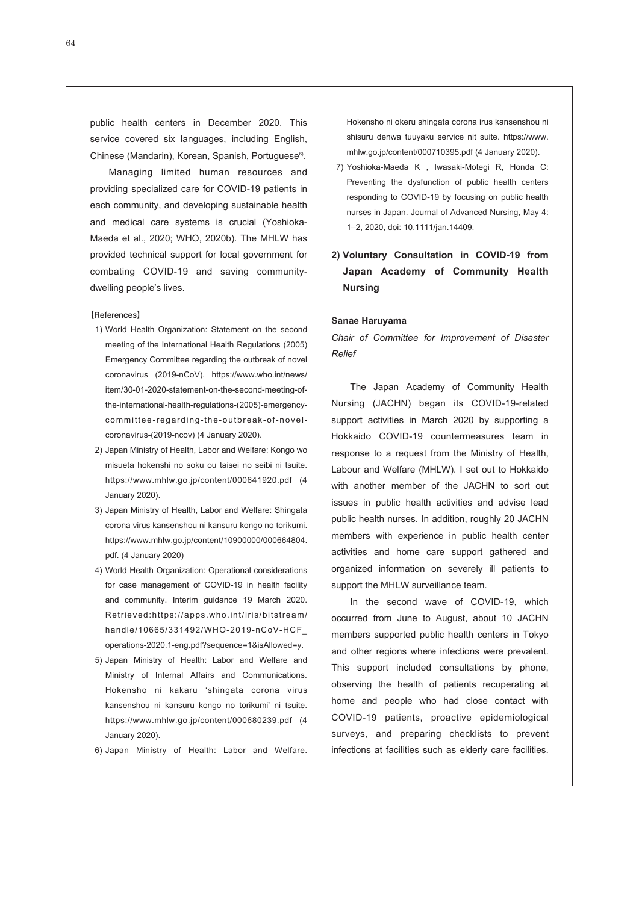public health centers in December 2020. This service covered six languages, including English, Chinese (Mandarin), Korean, Spanish, Portuguese<sup>6)</sup>.

Managing limited human resources and providing specialized care for COVID-19 patients in each community, and developing sustainable health and medical care systems is crucial (Yoshioka-Maeda et al., 2020; WHO, 2020b). The MHLW has provided technical support for local government for combating COVID-19 and saving communitydwelling people's lives.

## **【References】**

- 1) World Health Organization: Statement on the second meeting of the International Health Regulations (2005) Emergency Committee regarding the outbreak of novel coronavirus (2019-nCoV). https://www.who.int/news/ item/30-01-2020-statement-on-the-second-meeting-ofthe-international-health-regulations-(2005)-emergencycommittee-regarding-the-outbreak-of-novelcoronavirus-(2019-ncov) (4 January 2020).
- 2) Japan Ministry of Health, Labor and Welfare: Kongo wo misueta hokenshi no soku ou taisei no seibi ni tsuite. https://www.mhlw.go.jp/content/000641920.pdf (4 January 2020).
- 3) Japan Ministry of Health, Labor and Welfare: Shingata corona virus kansenshou ni kansuru kongo no torikumi. https://www.mhlw.go.jp/content/10900000/000664804. pdf. (4 January 2020)
- 4) World Health Organization: Operational considerations for case management of COVID-19 in health facility and community. Interim guidance 19 March 2020. Retrieved:https://apps.who.int/iris/bitstream/ handle/10665/331492/WHO-2019-nCoV-HCF\_ operations-2020.1-eng.pdf?sequence=1&isAllowed=y.
- 5) Japan Ministry of Health: Labor and Welfare and Ministry of Internal Affairs and Communications. Hokensho ni kakaru 'shingata corona virus kansenshou ni kansuru kongo no torikumi' ni tsuite. https://www.mhlw.go.jp/content/000680239.pdf (4 January 2020).
- 6) Japan Ministry of Health: Labor and Welfare.

Hokensho ni okeru shingata corona irus kansenshou ni shisuru denwa tuuyaku service nit suite. https://www. mhlw.go.jp/content/000710395.pdf (4 January 2020).

- 7) Yoshioka-Maeda K , Iwasaki-Motegi R, Honda C: Preventing the dysfunction of public health centers responding to COVID-19 by focusing on public health nurses in Japan. Journal of Advanced Nursing, May 4: 1–2, 2020, doi: 10.1111/jan.14409.
- **2) Voluntary Consultation in COVID-19 from Japan Academy of Community Health Nursing**

## **Sanae Haruyama**

*Chair of Committee for Improvement of Disaster Relief*

The Japan Academy of Community Health Nursing (JACHN) began its COVID-19-related support activities in March 2020 by supporting a Hokkaido COVID-19 countermeasures team in response to a request from the Ministry of Health, Labour and Welfare (MHLW). I set out to Hokkaido with another member of the JACHN to sort out issues in public health activities and advise lead public health nurses. In addition, roughly 20 JACHN members with experience in public health center activities and home care support gathered and organized information on severely ill patients to support the MHLW surveillance team.

In the second wave of COVID-19, which occurred from June to August, about 10 JACHN members supported public health centers in Tokyo and other regions where infections were prevalent. This support included consultations by phone, observing the health of patients recuperating at home and people who had close contact with COVID-19 patients, proactive epidemiological surveys, and preparing checklists to prevent infections at facilities such as elderly care facilities.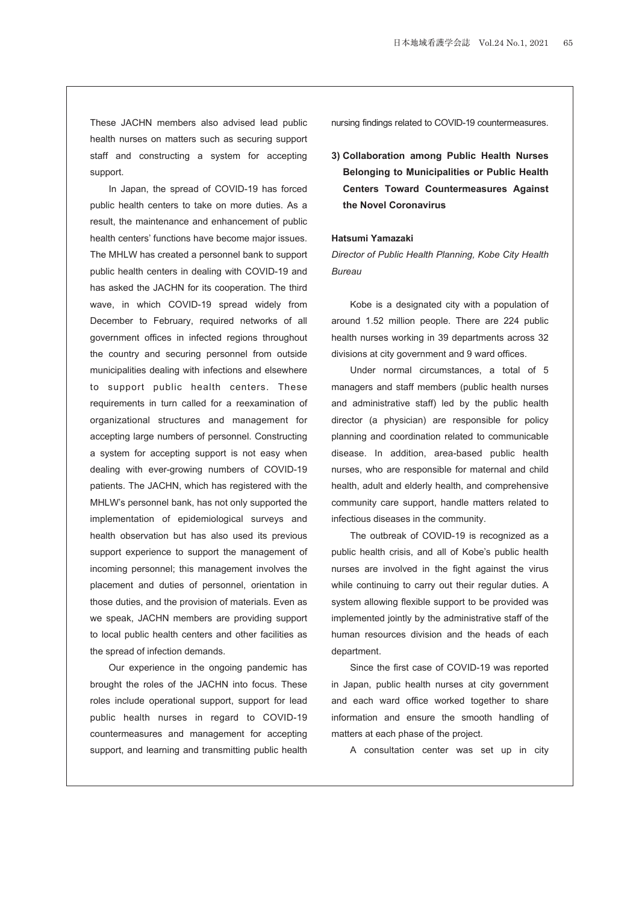These JACHN members also advised lead public health nurses on matters such as securing support staff and constructing a system for accepting support.

In Japan, the spread of COVID-19 has forced public health centers to take on more duties. As a result, the maintenance and enhancement of public health centers' functions have become major issues. The MHLW has created a personnel bank to support public health centers in dealing with COVID-19 and has asked the JACHN for its cooperation. The third wave, in which COVID-19 spread widely from December to February, required networks of all government offices in infected regions throughout the country and securing personnel from outside municipalities dealing with infections and elsewhere to support public health centers. These requirements in turn called for a reexamination of organizational structures and management for accepting large numbers of personnel. Constructing a system for accepting support is not easy when dealing with ever-growing numbers of COVID-19 patients. The JACHN, which has registered with the MHLW's personnel bank, has not only supported the implementation of epidemiological surveys and health observation but has also used its previous support experience to support the management of incoming personnel; this management involves the placement and duties of personnel, orientation in those duties, and the provision of materials. Even as we speak, JACHN members are providing support to local public health centers and other facilities as the spread of infection demands.

Our experience in the ongoing pandemic has brought the roles of the JACHN into focus. These roles include operational support, support for lead public health nurses in regard to COVID-19 countermeasures and management for accepting support, and learning and transmitting public health nursing findings related to COVID-19 countermeasures.

**3) Collaboration among Public Health Nurses Belonging to Municipalities or Public Health Centers Toward Countermeasures Against the Novel Coronavirus**

## **Hatsumi Yamazaki**

*Director of Public Health Planning, Kobe City Health Bureau*

Kobe is a designated city with a population of around 1.52 million people. There are 224 public health nurses working in 39 departments across 32 divisions at city government and 9 ward offices.

Under normal circumstances, a total of 5 managers and staff members (public health nurses and administrative staff) led by the public health director (a physician) are responsible for policy planning and coordination related to communicable disease. In addition, area-based public health nurses, who are responsible for maternal and child health, adult and elderly health, and comprehensive community care support, handle matters related to infectious diseases in the community.

The outbreak of COVID-19 is recognized as a public health crisis, and all of Kobe's public health nurses are involved in the fight against the virus while continuing to carry out their regular duties. A system allowing flexible support to be provided was implemented jointly by the administrative staff of the human resources division and the heads of each department.

Since the first case of COVID-19 was reported in Japan, public health nurses at city government and each ward office worked together to share information and ensure the smooth handling of matters at each phase of the project.

A consultation center was set up in city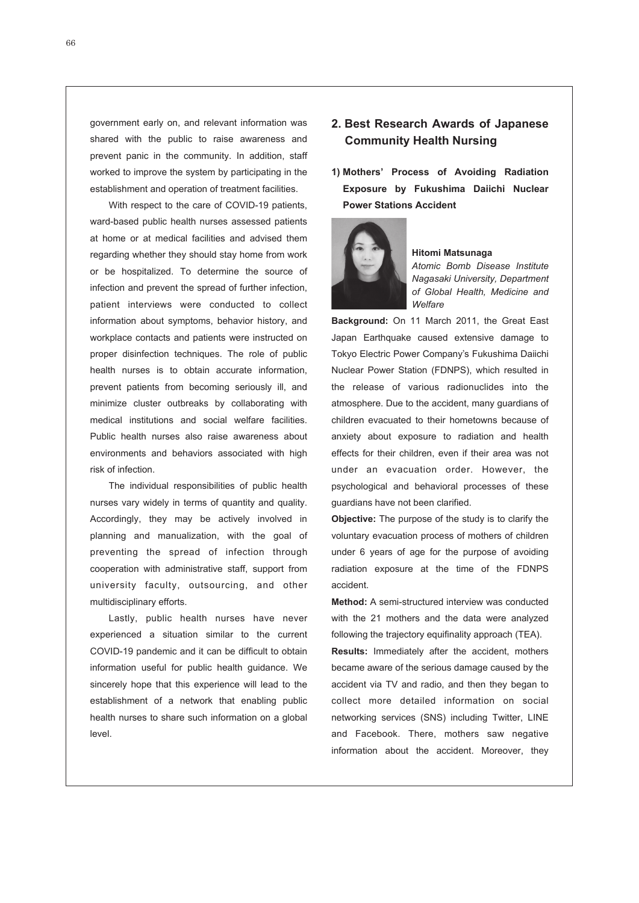government early on, and relevant information was shared with the public to raise awareness and prevent panic in the community. In addition, staff worked to improve the system by participating in the establishment and operation of treatment facilities.

With respect to the care of COVID-19 patients, ward-based public health nurses assessed patients at home or at medical facilities and advised them regarding whether they should stay home from work or be hospitalized. To determine the source of infection and prevent the spread of further infection, patient interviews were conducted to collect information about symptoms, behavior history, and workplace contacts and patients were instructed on proper disinfection techniques. The role of public health nurses is to obtain accurate information, prevent patients from becoming seriously ill, and minimize cluster outbreaks by collaborating with medical institutions and social welfare facilities. Public health nurses also raise awareness about environments and behaviors associated with high risk of infection.

The individual responsibilities of public health nurses vary widely in terms of quantity and quality. Accordingly, they may be actively involved in planning and manualization, with the goal of preventing the spread of infection through cooperation with administrative staff, support from university faculty, outsourcing, and other multidisciplinary efforts.

Lastly, public health nurses have never experienced a situation similar to the current COVID-19 pandemic and it can be difficult to obtain information useful for public health guidance. We sincerely hope that this experience will lead to the establishment of a network that enabling public health nurses to share such information on a global level.

# **2. Best Research Awards of Japanese Community Health Nursing**

**1) Mothers' Process of Avoiding Radiation Exposure by Fukushima Daiichi Nuclear Power Stations Accident**



## **Hitomi Matsunaga**

*Atomic Bomb Disease Institute Nagasaki University, Department of Global Health, Medicine and Welfare*

**Background:** On 11 March 2011, the Great East Japan Earthquake caused extensive damage to Tokyo Electric Power Company's Fukushima Daiichi Nuclear Power Station (FDNPS), which resulted in the release of various radionuclides into the atmosphere. Due to the accident, many guardians of children evacuated to their hometowns because of anxiety about exposure to radiation and health effects for their children, even if their area was not under an evacuation order. However, the psychological and behavioral processes of these guardians have not been clarified.

**Objective:** The purpose of the study is to clarify the voluntary evacuation process of mothers of children under 6 years of age for the purpose of avoiding radiation exposure at the time of the FDNPS accident.

**Method:** A semi-structured interview was conducted with the 21 mothers and the data were analyzed following the trajectory equifinality approach (TEA).

**Results:** Immediately after the accident, mothers became aware of the serious damage caused by the accident via TV and radio, and then they began to collect more detailed information on social networking services (SNS) including Twitter, LINE and Facebook. There, mothers saw negative information about the accident. Moreover, they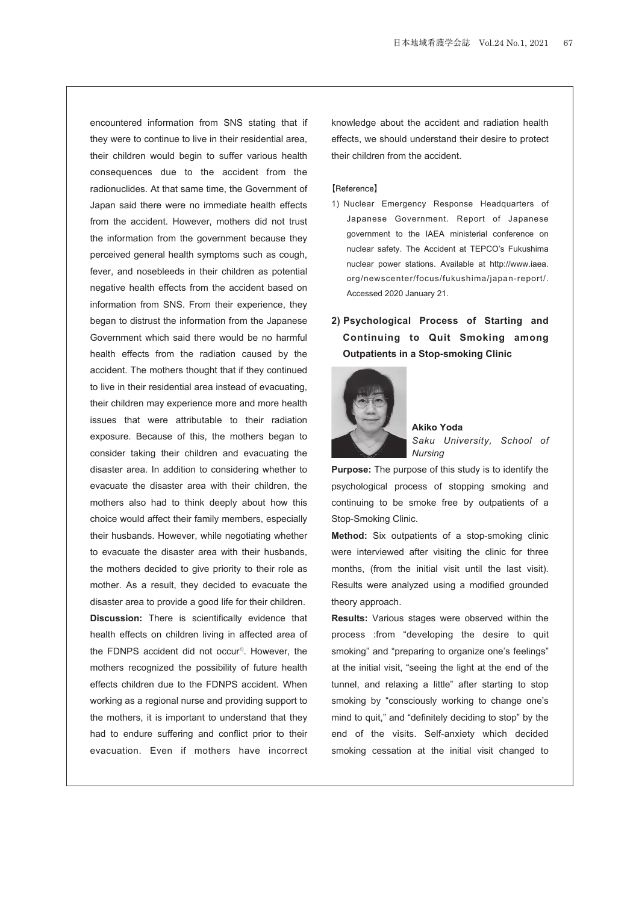encountered information from SNS stating that if they were to continue to live in their residential area, their children would begin to suffer various health consequences due to the accident from the radionuclides. At that same time, the Government of Japan said there were no immediate health effects from the accident. However, mothers did not trust the information from the government because they perceived general health symptoms such as cough, fever, and nosebleeds in their children as potential negative health effects from the accident based on information from SNS. From their experience, they began to distrust the information from the Japanese Government which said there would be no harmful health effects from the radiation caused by the accident. The mothers thought that if they continued to live in their residential area instead of evacuating, their children may experience more and more health issues that were attributable to their radiation exposure. Because of this, the mothers began to consider taking their children and evacuating the disaster area. In addition to considering whether to evacuate the disaster area with their children, the mothers also had to think deeply about how this choice would affect their family members, especially their husbands. However, while negotiating whether to evacuate the disaster area with their husbands, the mothers decided to give priority to their role as mother. As a result, they decided to evacuate the disaster area to provide a good life for their children. **Discussion:** There is scientifically evidence that health effects on children living in affected area of the FDNPS accident did not occur<sup>1)</sup>. However, the mothers recognized the possibility of future health effects children due to the FDNPS accident. When working as a regional nurse and providing support to the mothers, it is important to understand that they had to endure suffering and conflict prior to their evacuation. Even if mothers have incorrect

knowledge about the accident and radiation health effects, we should understand their desire to protect their children from the accident.

#### **【Reference】**

- 1) Nuclear Emergency Response Headquarters of Japanese Government. Report of Japanese government to the IAEA ministerial conference on nuclear safety. The Accident at TEPCO's Fukushima nuclear power stations. Available at http://www.iaea. org/newscenter/focus/fukushima/japan-report/. Accessed 2020 January 21.
- **2) Psychological Process of Starting and Continuing to Quit Smoking among Outpatients in a Stop-smoking Clinic**



**Akiko Yoda** *Saku University, School of Nursing*

**Purpose:** The purpose of this study is to identify the psychological process of stopping smoking and continuing to be smoke free by outpatients of a Stop-Smoking Clinic.

**Method:** Six outpatients of a stop-smoking clinic were interviewed after visiting the clinic for three months, (from the initial visit until the last visit). Results were analyzed using a modified grounded theory approach.

**Results:** Various stages were observed within the process :from "developing the desire to quit smoking" and "preparing to organize one's feelings" at the initial visit, "seeing the light at the end of the tunnel, and relaxing a little" after starting to stop smoking by "consciously working to change one's mind to quit," and "definitely deciding to stop" by the end of the visits. Self-anxiety which decided smoking cessation at the initial visit changed to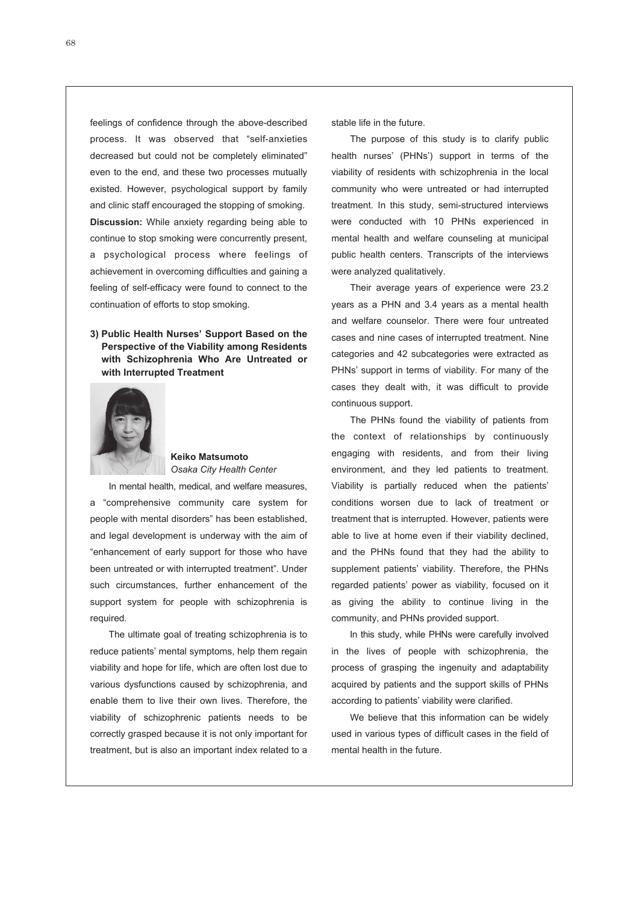feelings of confidence through the above-described process. It was observed that "self-anxieties decreased but could not be completely eliminated" even to the end, and these two processes mutually existed. However, psychological support by family and clinic staff encouraged the stopping of smoking. **Discussion:** While anxiety regarding being able to continue to stop smoking were concurrently present, a psychological process where feelings of achievement in overcoming difficulties and gaining a feeling of self-efficacy were found to connect to the continuation of efforts to stop smoking.

## **3) Public Health Nurses' Support Based on the Perspective of the Viability among Residents with Schizophrenia Who Are Untreated or with Interrupted Treatment**



## **Keiko Matsumoto** *Osaka City Health Center*

In mental health, medical, and welfare measures, a "comprehensive community care system for people with mental disorders" has been established, and legal development is underway with the aim of "enhancement of early support for those who have been untreated or with interrupted treatment". Under such circumstances, further enhancement of the support system for people with schizophrenia is required.

The ultimate goal of treating schizophrenia is to reduce patients' mental symptoms, help them regain viability and hope for life, which are often lost due to various dysfunctions caused by schizophrenia, and enable them to live their own lives. Therefore, the viability of schizophrenic patients needs to be correctly grasped because it is not only important for treatment, but is also an important index related to a stable life in the future.

The purpose of this study is to clarify public health nurses' (PHNs') support in terms of the viability of residents with schizophrenia in the local community who were untreated or had interrupted treatment. In this study, semi-structured interviews were conducted with 10 PHNs experienced in mental health and welfare counseling at municipal public health centers. Transcripts of the interviews were analyzed qualitatively.

Their average years of experience were 23.2 years as a PHN and 3.4 years as a mental health and welfare counselor. There were four untreated cases and nine cases of interrupted treatment. Nine categories and 42 subcategories were extracted as PHNs' support in terms of viability. For many of the cases they dealt with, it was difficult to provide continuous support.

The PHNs found the viability of patients from the context of relationships by continuously engaging with residents, and from their living environment, and they led patients to treatment. Viability is partially reduced when the patients' conditions worsen due to lack of treatment or treatment that is interrupted. However, patients were able to live at home even if their viability declined, and the PHNs found that they had the ability to supplement patients' viability. Therefore, the PHNs regarded patients' power as viability, focused on it as giving the ability to continue living in the community, and PHNs provided support.

In this study, while PHNs were carefully involved in the lives of people with schizophrenia, the process of grasping the ingenuity and adaptability acquired by patients and the support skills of PHNs according to patients' viability were clarified.

We believe that this information can be widely used in various types of difficult cases in the field of mental health in the future.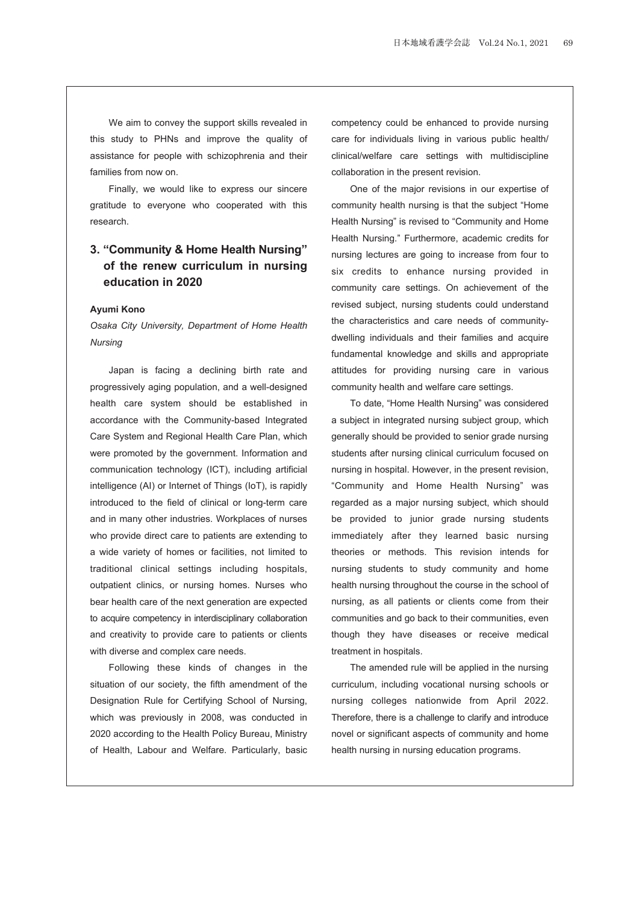We aim to convey the support skills revealed in this study to PHNs and improve the quality of assistance for people with schizophrenia and their families from now on.

Finally, we would like to express our sincere gratitude to everyone who cooperated with this research.

# **3. "Community & Home Health Nursing" of the renew curriculum in nursing education in 2020**

## **Ayumi Kono**

*Osaka City University, Department of Home Health Nursing*

Japan is facing a declining birth rate and progressively aging population, and a well-designed health care system should be established in accordance with the Community-based Integrated Care System and Regional Health Care Plan, which were promoted by the government. Information and communication technology (ICT), including artificial intelligence (AI) or Internet of Things (IoT), is rapidly introduced to the field of clinical or long-term care and in many other industries. Workplaces of nurses who provide direct care to patients are extending to a wide variety of homes or facilities, not limited to traditional clinical settings including hospitals, outpatient clinics, or nursing homes. Nurses who bear health care of the next generation are expected to acquire competency in interdisciplinary collaboration and creativity to provide care to patients or clients with diverse and complex care needs.

Following these kinds of changes in the situation of our society, the fifth amendment of the Designation Rule for Certifying School of Nursing, which was previously in 2008, was conducted in 2020 according to the Health Policy Bureau, Ministry of Health, Labour and Welfare. Particularly, basic competency could be enhanced to provide nursing care for individuals living in various public health/ clinical/welfare care settings with multidiscipline collaboration in the present revision.

One of the major revisions in our expertise of community health nursing is that the subject "Home Health Nursing" is revised to "Community and Home Health Nursing." Furthermore, academic credits for nursing lectures are going to increase from four to six credits to enhance nursing provided in community care settings. On achievement of the revised subject, nursing students could understand the characteristics and care needs of communitydwelling individuals and their families and acquire fundamental knowledge and skills and appropriate attitudes for providing nursing care in various community health and welfare care settings.

To date, "Home Health Nursing" was considered a subject in integrated nursing subject group, which generally should be provided to senior grade nursing students after nursing clinical curriculum focused on nursing in hospital. However, in the present revision, "Community and Home Health Nursing" was regarded as a major nursing subject, which should be provided to junior grade nursing students immediately after they learned basic nursing theories or methods. This revision intends for nursing students to study community and home health nursing throughout the course in the school of nursing, as all patients or clients come from their communities and go back to their communities, even though they have diseases or receive medical treatment in hospitals.

The amended rule will be applied in the nursing curriculum, including vocational nursing schools or nursing colleges nationwide from April 2022. Therefore, there is a challenge to clarify and introduce novel or significant aspects of community and home health nursing in nursing education programs.